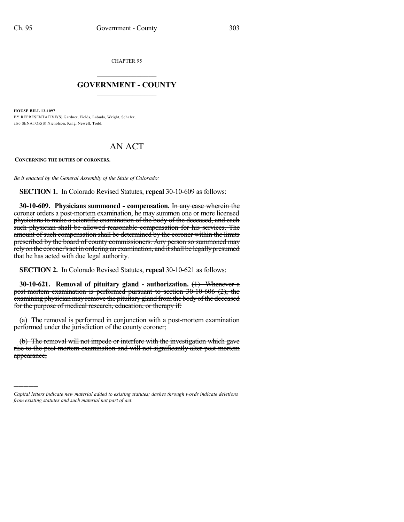CHAPTER 95

## $\mathcal{L}_\text{max}$  . The set of the set of the set of the set of the set of the set of the set of the set of the set of the set of the set of the set of the set of the set of the set of the set of the set of the set of the set **GOVERNMENT - COUNTY**  $\_$

**HOUSE BILL 13-1097**

)))))

BY REPRESENTATIVE(S) Gardner, Fields, Labuda, Wright, Schafer; also SENATOR(S) Nicholson, King, Newell, Todd.

## AN ACT

**CONCERNING THE DUTIES OF CORONERS.**

*Be it enacted by the General Assembly of the State of Colorado:*

**SECTION 1.** In Colorado Revised Statutes, **repeal** 30-10-609 as follows:

**30-10-609. Physicians summoned - compensation.** In any case wherein the coroner orders a post-mortem examination, he may summon one or more licensed physicians to make a scientific examination of the body of the deceased, and each such physician shall be allowed reasonable compensation for his services. The amount of such compensation shall be determined by the coroner within the limits prescribed by the board of county commissioners. Any person so summoned may rely on the coroner's act in ordering an examination, and it shall be legally presumed that he has acted with due legal authority.

**SECTION 2.** In Colorado Revised Statutes, **repeal** 30-10-621 as follows:

**30-10-621. Removal of pituitary gland - authorization.** (1) Whenever a post-mortem examination is performed pursuant to section 30-10-606 (2), the examining physician may remove the pituitary gland fromthe body of the deceased for the purpose of medical research, education, or therapy if:

(a) The removal is performed in conjunction with a post-mortem examination performed under the jurisdiction of the county coroner;

(b) The removal will not impede or interfere with the investigation which gave rise to the post-mortem examination and will not significantly alter post-mortem appearance;

*Capital letters indicate new material added to existing statutes; dashes through words indicate deletions from existing statutes and such material not part of act.*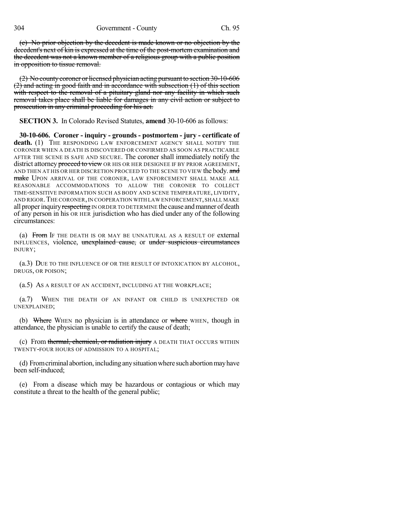(c) No prior objection by the decedent is made known or no objection by the decedent's next of kin is expressed at the time of the post-mortem examination and the decedent was not a known member of a religious group with a public position in opposition to tissue removal.

(2) No county coroner or licensed physician acting pursuant to section 30-10-606 (2) and acting in good faith and in accordance with subsection (1) of this section with respect to the removal of a pituitary gland nor any facility in which such removal takes place shall be liable for damages in any civil action or subject to prosecution in any criminal proceeding for his act.

**SECTION 3.** In Colorado Revised Statutes, **amend** 30-10-606 as follows:

**30-10-606. Coroner - inquiry - grounds - postmortem - jury - certificate of** death. (1) THE RESPONDING LAW ENFORCEMENT AGENCY SHALL NOTIFY THE CORONER WHEN A DEATH IS DISCOVERED OR CONFIRMED AS SOON AS PRACTICABLE AFTER THE SCENE IS SAFE AND SECURE. The coroner shall immediately notify the district attorney proceed to view OR HIS OR HER DESIGNEE IF BY PRIOR AGREEMENT, AND THEN AT HIS OR HER DISCRETION PROCEED TO THE SCENE TO VIEW the body. and make UPON ARRIVAL OF THE CORONER, LAW ENFORCEMENT SHALL MAKE ALL REASONABLE ACCOMMODATIONS TO ALLOW THE CORONER TO COLLECT TIME-SENSITIVE INFORMATION SUCH AS BODY AND SCENE TEMPERATURE, LIVIDITY, AND RIGOR.THE CORONER,IN COOPERATION WITH LAW ENFORCEMENT,SHALL MAKE all proper inquiry respecting IN ORDER TO DETERMINE the cause and manner of death of any person in his OR HER jurisdiction who has died under any of the following circumstances:

(a) From IF THE DEATH IS OR MAY BE UNNATURAL AS A RESULT OF external INFLUENCES, violence, unexplained cause, or under suspicious circumstances INJURY;

(a.3) DUE TO THE INFLUENCE OF OR THE RESULT OF INTOXICATION BY ALCOHOL, DRUGS, OR POISON;

(a.5) AS A RESULT OF AN ACCIDENT, INCLUDING AT THE WORKPLACE;

(a.7) WHEN THE DEATH OF AN INFANT OR CHILD IS UNEXPECTED OR UNEXPLAINED;

(b) Where WHEN no physician is in attendance or where WHEN, though in attendance, the physician is unable to certify the cause of death;

(c) From thermal, chemical, or radiation injury A DEATH THAT OCCURS WITHIN TWENTY-FOUR HOURS OF ADMISSION TO A HOSPITAL;

(d) Fromcriminal abortion,includinganysituationwhere suchabortionmayhave been self-induced;

(e) From a disease which may be hazardous or contagious or which may constitute a threat to the health of the general public;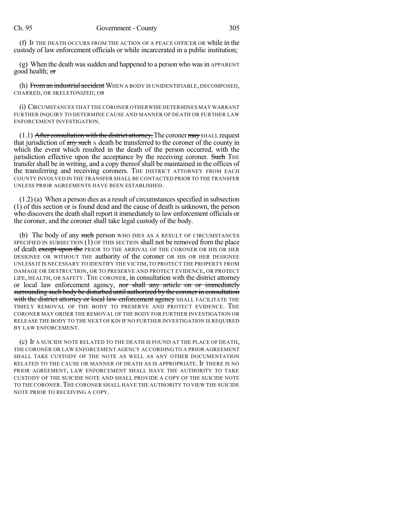(f) IF THE DEATH OCCURS FROM THE ACTION OF A PEACE OFFICER OR while in the custody of law enforcement officials or while incarcerated in a public institution;

(g) When the death was sudden and happened to a person who was in APPARENT good health; or

(h) From an industrial accident WHEN A BODY IS UNIDENTIFIABLE, DECOMPOSED, CHARRED, OR SKELETONIZED; OR

(i) CIRCUMSTANCES THAT THE CORONER OTHERWISE DETERMINES MAY WARRANT FURTHER INQUIRY TO DETERMINE CAUSE AND MANNER OF DEATH OR FURTHER LAW ENFORCEMENT INVESTIGATION.

 $(1.1)$  After consultation with the district attorney, The coroner may SHALL request that jurisdiction of any such A death be transferred to the coroner of the county in which the event which resulted in the death of the person occurred, with the jurisdiction effective upon the acceptance by the receiving coroner. Such THE transfershall be in writing, and a copy thereof shall be maintained in the offices of the transferring and receiving coroners. THE DISTRICT ATTORNEY FROM EACH COUNTY INVOLVED IN THE TRANSFER SHALL BE CONTACTED PRIOR TO THE TRANSFER UNLESS PRIOR AGREEMENTS HAVE BEEN ESTABLISHED.

 $(1.2)$  (a) When a person dies as a result of circumstances specified in subsection (1) of this section or is found dead and the cause of death is unknown, the person who discovers the death shall report it immediately to law enforcement officials or the coroner, and the coroner shall take legal custody of the body.

(b) The body of any such person WHO DIES AS A RESULT OF CIRCUMSTANCES SPECIFIED IN SUBSECTION (1) OF THIS SECTION shall not be removed from the place of death except upon the PRIOR TO THE ARRIVAL OF THE CORONER OR HIS OR HER DESIGNEE OR WITHOUT THE authority of the coroner OR HIS OR HER DESIGNEE UNLESS IT IS NECESSARY TO IDENTIFY THE VICTIM,TO PROTECT THE PROPERTY FROM DAMAGE OR DESTRUCTION, OR TO PRESERVE AND PROTECT EVIDENCE, OR PROTECT LIFE, HEALTH, OR SAFETY. THE CORONER, in consultation with the district attorney or local law enforcement agency, nor shall any article on or immediately surrounding such body be disturbed until authorized by the coroner in consultation with the district attorney or local law enforcement agency SHALL FACILITATE THE TIMELY REMOVAL OF THE BODY TO PRESERVE AND PROTECT EVIDENCE. THE CORONER MAY ORDER THE REMOVAL OF THE BODY FOR FURTHER INVESTIGATION OR RELEASE THE BODY TO THE NEXT OF KIN IF NO FURTHER INVESTIGATION IS REQUIRED BY LAW ENFORCEMENT.

(c) IF A SUICIDE NOTE RELATED TO THE DEATH IS FOUND AT THE PLACE OF DEATH, THE CORONER OR LAW ENFORCEMENT AGENCY ACCORDING TO A PRIOR AGREEMENT SHALL TAKE CUSTODY OF THE NOTE AS WELL AS ANY OTHER DOCUMENTATION RELATED TO THE CAUSE OR MANNER OF DEATH AS IS APPROPRIATE. IF THERE IS NO PRIOR AGREEMENT, LAW ENFORCEMENT SHALL HAVE THE AUTHORITY TO TAKE CUSTODY OF THE SUICIDE NOTE AND SHALL PROVIDE A COPY OF THE SUICIDE NOTE TO THE CORONER.THE CORONER SHALL HAVE THE AUTHORITY TO VIEW THE SUICIDE NOTE PRIOR TO RECEIVING A COPY.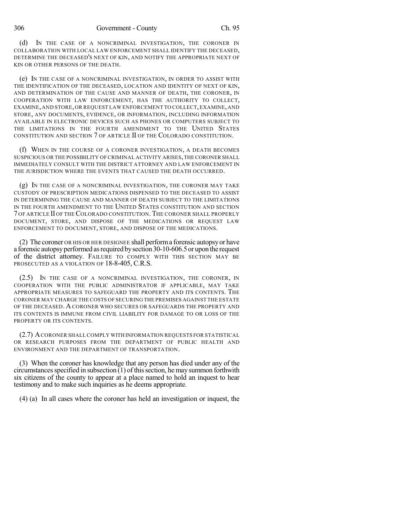(d) IN THE CASE OF A NONCRIMINAL INVESTIGATION, THE CORONER IN COLLABORATION WITH LOCAL LAW ENFORCEMENT SHALL IDENTIFY THE DECEASED, DETERMINE THE DECEASED'S NEXT OF KIN, AND NOTIFY THE APPROPRIATE NEXT OF KIN OR OTHER PERSONS OF THE DEATH.

(e) IN THE CASE OF A NONCRIMINAL INVESTIGATION, IN ORDER TO ASSIST WITH THE IDENTIFICATION OF THE DECEASED, LOCATION AND IDENTITY OF NEXT OF KIN, AND DETERMINATION OF THE CAUSE AND MANNER OF DEATH, THE CORONER, IN COOPERATION WITH LAW ENFORCEMENT, HAS THE AUTHORITY TO COLLECT, EXAMINE, AND STORE, OR REQUEST LAW ENFORCEMENT TO COLLECT, EXAMINE, AND STORE, ANY DOCUMENTS, EVIDENCE, OR INFORMATION, INCLUDING INFORMATION AVAILABLE IN ELECTRONIC DEVICES SUCH AS PHONES OR COMPUTERS SUBJECT TO THE LIMITATIONS IN THE FOURTH AMENDMENT TO THE UNITED STATES CONSTITUTION AND SECTION 7 OF ARTICLE II OF THE COLORADO CONSTITUTION.

(f) WHEN IN THE COURSE OF A CORONER INVESTIGATION, A DEATH BECOMES SUSPICIOUS OR THE POSSIBILITY OF CRIMINAL ACTIVITY ARISES,THECORONER SHALL IMMEDIATELY CONSULT WITH THE DISTRICT ATTORNEY AND LAW ENFORCEMENT IN THE JURISDICTION WHERE THE EVENTS THAT CAUSED THE DEATH OCCURRED.

(g) IN THE CASE OF A NONCRIMINAL INVESTIGATION, THE CORONER MAY TAKE CUSTODY OF PRESCRIPTION MEDICATIONS DISPENSED TO THE DECEASED TO ASSIST IN DETERMINING THE CAUSE AND MANNER OF DEATH SUBJECT TO THE LIMITATIONS IN THE FOURTH AMENDMENT TO THE UNITED STATES CONSTITUTION AND SECTION 7 OF ARTICLE II OF THE COLORADO CONSTITUTION.THE CORONER SHALL PROPERLY DOCUMENT, STORE, AND DISPOSE OF THE MEDICATIONS OR REQUEST LAW ENFORCEMENT TO DOCUMENT, STORE, AND DISPOSE OF THE MEDICATIONS.

(2) The coroner OR HIS OR HER DESIGNEE shall performa forensic autopsyor have a forensic autopsyperformed asrequired bysection30-10-606.5or uponthe request of the district attorney. FAILURE TO COMPLY WITH THIS SECTION MAY BE PROSECUTED AS A VIOLATION OF 18-8-405, C.R.S.

(2.5) IN THE CASE OF A NONCRIMINAL INVESTIGATION, THE CORONER, IN COOPERATION WITH THE PUBLIC ADMINISTRATOR IF APPLICABLE, MAY TAKE APPROPRIATE MEASURES TO SAFEGUARD THE PROPERTY AND ITS CONTENTS. THE CORONER MAY CHARGE THE COSTS OF SECURING THE PREMISES AGAINST THE ESTATE OF THE DECEASED. ACORONER WHO SECURES OR SAFEGUARDS THE PROPERTY AND ITS CONTENTS IS IMMUNE FROM CIVIL LIABILITY FOR DAMAGE TO OR LOSS OF THE PROPERTY OR ITS CONTENTS.

(2.7) ACORONER SHALL COMPLY WITH INFORMATION REQUESTS FOR STATISTICAL OR RESEARCH PURPOSES FROM THE DEPARTMENT OF PUBLIC HEALTH AND ENVIRONMENT AND THE DEPARTMENT OF TRANSPORTATION.

(3) When the coroner has knowledge that any person has died under any of the circumstances specified in subsection  $(1)$  of this section, he may summon forthwith six citizens of the county to appear at a place named to hold an inquest to hear testimony and to make such inquiries as he deems appropriate.

(4) (a) In all cases where the coroner has held an investigation or inquest, the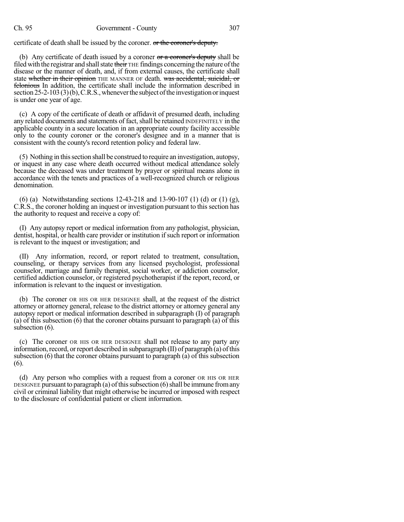## Ch. 95 Government - County 307

certificate of death shall be issued by the coroner. or the coroner's deputy.

(b) Any certificate of death issued by a coroner  $\sigma$  a coroner's deputy shall be filed with the registrar and shall state their THE findings concerning the nature of the disease or the manner of death, and, if from external causes, the certificate shall state whether in their opinion THE MANNER OF death. was accidental, suicidal, or felonious In addition, the certificate shall include the information described in section  $25$ -2-103(3)(b), C.R.S., whenever the subject of the investigation or inquest is under one year of age.

(c) A copy of the certificate of death or affidavit of presumed death, including any related documents and statements of fact, shall be retained INDEFINITELY in the applicable county in a secure location in an appropriate county facility accessible only to the county coroner or the coroner's designee and in a manner that is consistent with the county's record retention policy and federal law.

(5) Nothing in thissection shall be construed to require an investigation, autopsy, or inquest in any case where death occurred without medical attendance solely because the deceased was under treatment by prayer or spiritual means alone in accordance with the tenets and practices of a well-recognized church or religious denomination.

(6) (a) Notwithstanding sections 12-43-218 and 13-90-107 (1) (d) or (1) (g), C.R.S., the coroner holding an inquest or investigation pursuant to this section has the authority to request and receive a copy of:

(I) Any autopsy report or medical information from any pathologist, physician, dentist, hospital, or health care provider or institution if such report or information is relevant to the inquest or investigation; and

(II) Any information, record, or report related to treatment, consultation, counseling, or therapy services from any licensed psychologist, professional counselor, marriage and family therapist, social worker, or addiction counselor, certified addiction counselor, or registered psychotherapist if the report, record, or information is relevant to the inquest or investigation.

(b) The coroner OR HIS OR HER DESIGNEE shall, at the request of the district attorney or attorney general, release to the district attorney or attorney general any autopsy report or medical information described in subparagraph (I) of paragraph (a) of this subsection (6) that the coroner obtains pursuant to paragraph (a) of this subsection  $(6)$ .

(c) The coroner OR HIS OR HER DESIGNEE shall not release to any party any information, record, or report described in subparagraph  $(II)$  of paragraph  $(a)$  of this subsection (6) that the coroner obtains pursuant to paragraph (a) of this subsection (6).

(d) Any person who complies with a request from a coroner OR HIS OR HER DESIGNEE pursuant to paragraph (a) of this subsection (6) shall be immune from any civil or criminal liability that might otherwise be incurred or imposed with respect to the disclosure of confidential patient or client information.